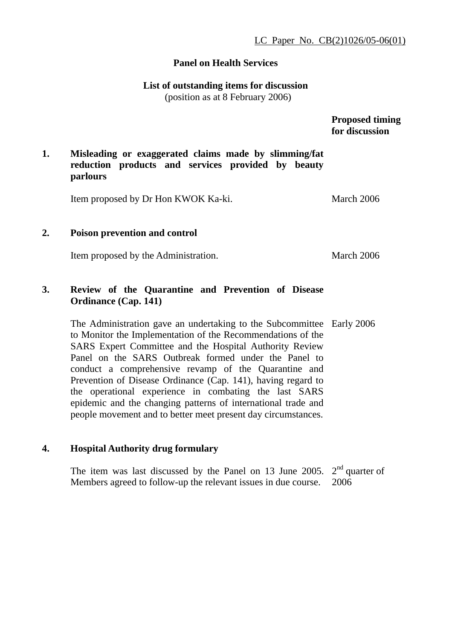#### **Panel on Health Services**

# **List of outstanding items for discussion**

(position as at 8 February 2006)

 **Proposed timing for discussion** 

## **1. Misleading or exaggerated claims made by slimming/fat reduction products and services provided by beauty parlours**

Item proposed by Dr Hon KWOK Ka-ki. March 2006

#### **2. Poison prevention and control**

Item proposed by the Administration. March 2006

# **3. Review of the Quarantine and Prevention of Disease Ordinance (Cap. 141)**

The Administration gave an undertaking to the Subcommittee Early 2006 to Monitor the Implementation of the Recommendations of the SARS Expert Committee and the Hospital Authority Review Panel on the SARS Outbreak formed under the Panel to conduct a comprehensive revamp of the Quarantine and Prevention of Disease Ordinance (Cap. 141), having regard to the operational experience in combating the last SARS epidemic and the changing patterns of international trade and people movement and to better meet present day circumstances.

#### **4. Hospital Authority drug formulary**

The item was last discussed by the Panel on 13 June 2005.  $2<sup>nd</sup>$  quarter of Members agreed to follow-up the relevant issues in due course. 2006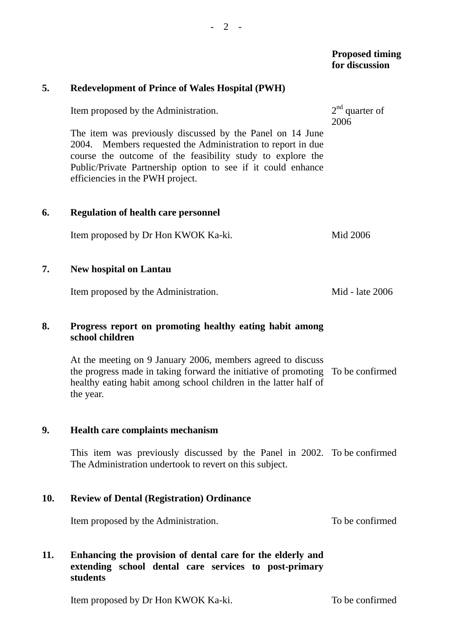|     |                                                                                                                                                                                                                                                                                            | <b>Proposed timing</b><br>for discussion |
|-----|--------------------------------------------------------------------------------------------------------------------------------------------------------------------------------------------------------------------------------------------------------------------------------------------|------------------------------------------|
| 5.  | <b>Redevelopment of Prince of Wales Hospital (PWH)</b>                                                                                                                                                                                                                                     |                                          |
|     | Item proposed by the Administration.                                                                                                                                                                                                                                                       | $2nd$ quarter of<br>2006                 |
|     | The item was previously discussed by the Panel on 14 June<br>2004. Members requested the Administration to report in due<br>course the outcome of the feasibility study to explore the<br>Public/Private Partnership option to see if it could enhance<br>efficiencies in the PWH project. |                                          |
| 6.  | <b>Regulation of health care personnel</b>                                                                                                                                                                                                                                                 |                                          |
|     | Item proposed by Dr Hon KWOK Ka-ki.                                                                                                                                                                                                                                                        | Mid 2006                                 |
| 7.  | <b>New hospital on Lantau</b>                                                                                                                                                                                                                                                              |                                          |
|     | Item proposed by the Administration.                                                                                                                                                                                                                                                       | Mid - late 2006                          |
| 8.  | Progress report on promoting healthy eating habit among<br>school children                                                                                                                                                                                                                 |                                          |
|     | At the meeting on 9 January 2006, members agreed to discuss<br>the progress made in taking forward the initiative of promoting<br>healthy eating habit among school children in the latter half of<br>the year.                                                                            | To be confirmed                          |
| 9.  | Health care complaints mechanism                                                                                                                                                                                                                                                           |                                          |
|     | This item was previously discussed by the Panel in 2002. To be confirmed<br>The Administration undertook to revert on this subject.                                                                                                                                                        |                                          |
| 10. | <b>Review of Dental (Registration) Ordinance</b>                                                                                                                                                                                                                                           |                                          |
|     | Item proposed by the Administration.                                                                                                                                                                                                                                                       | To be confirmed                          |
| 11. | Enhancing the provision of dental care for the elderly and<br>extending school dental care services to post-primary<br>students                                                                                                                                                            |                                          |
|     | Item proposed by Dr Hon KWOK Ka-ki.                                                                                                                                                                                                                                                        | To be confirmed                          |
|     |                                                                                                                                                                                                                                                                                            |                                          |